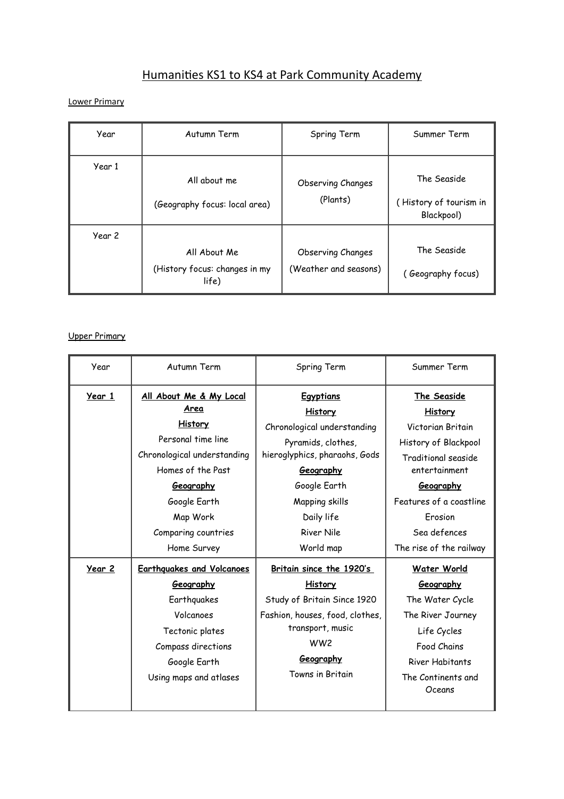# Humanities KS1 to KS4 at Park Community Academy

Lower Primary

| Year   | Autumn Term                                            | Spring Term                                       | Summer Term                                         |
|--------|--------------------------------------------------------|---------------------------------------------------|-----------------------------------------------------|
| Year 1 | All about me<br>(Geography focus: local area)          | <b>Observing Changes</b><br>(Plants)              | The Seaside<br>(History of tourism in<br>Blackpool) |
| Year 2 | All About Me<br>(History focus: changes in my<br>life) | <b>Observing Changes</b><br>(Weather and seasons) | The Seaside<br>(Geography focus)                    |

#### Upper Primary

| Year   | Autumn Term                                                                                                                                                                                                | Spring Term                                                                                                                                                                                                             | Summer Term                                                                                                                                                                                                      |
|--------|------------------------------------------------------------------------------------------------------------------------------------------------------------------------------------------------------------|-------------------------------------------------------------------------------------------------------------------------------------------------------------------------------------------------------------------------|------------------------------------------------------------------------------------------------------------------------------------------------------------------------------------------------------------------|
| Year 1 | All About Me & My Local<br>Area<br><u>History</u><br>Personal time line<br>Chronological understanding<br>Homes of the Past<br>Geography<br>Google Earth<br>Map Work<br>Comparing countries<br>Home Survey | <b>Egyptians</b><br><b>History</b><br>Chronological understanding<br>Pyramids, clothes,<br>hieroglyphics, pharaohs, Gods<br>Geography<br>Google Earth<br>Mapping skills<br>Daily life<br><b>River Nile</b><br>World map | The Seaside<br><b>History</b><br>Victorian Britain<br>History of Blackpool<br>Traditional seaside<br>entertainment<br>Geography<br>Features of a coastline<br>Erosion<br>Sea defences<br>The rise of the railway |
| Year 2 | <b>Earthquakes and Volcanoes</b><br>Geography<br>Earthquakes<br>Volcanoes<br>Tectonic plates<br>Compass directions<br>Google Earth<br>Using maps and atlases                                               | Britain since the 1920's<br><b>History</b><br>Study of Britain Since 1920<br>Fashion, houses, food, clothes,<br>transport, music<br>WW <sub>2</sub><br>Geography<br>Towns in Britain                                    | <b>Water World</b><br>Geography<br>The Water Cycle<br>The River Journey<br>Life Cycles<br>Food Chains<br>River Habitants<br>The Continents and<br>Oceans                                                         |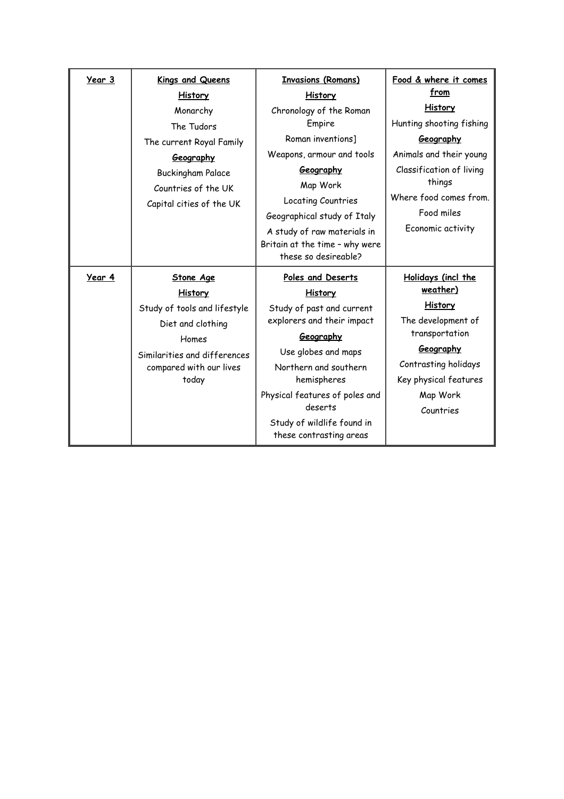| Year 3 | <b>Kings and Queens</b>      | <b>Invasions (Romans)</b>      | Food & where it comes    |
|--------|------------------------------|--------------------------------|--------------------------|
|        | <b>History</b>               | <b>History</b>                 | <u>from</u>              |
|        | Monarchy                     | Chronology of the Roman        | <b>History</b>           |
|        | The Tudors                   | Empire                         | Hunting shooting fishing |
|        | The current Royal Family     | Roman inventions]              | Geography                |
|        | Geography                    | Weapons, armour and tools      | Animals and their young  |
|        | <b>Buckingham Palace</b>     | Geography                      | Classification of living |
|        | Countries of the UK          | Map Work                       | things                   |
|        | Capital cities of the UK     | Locating Countries             | Where food comes from.   |
|        |                              | Geographical study of Italy    | Food miles               |
|        |                              | A study of raw materials in    | Economic activity        |
|        |                              | Britain at the time - why were |                          |
|        |                              | these so desireable?           |                          |
| Year 4 | <b>Stone Age</b>             | Poles and Deserts              | Holidays (incl the       |
|        | <b>History</b>               | <b>History</b>                 | weather)                 |
|        | Study of tools and lifestyle | Study of past and current      | <b>History</b>           |
|        | Diet and clothing            | explorers and their impact     | The development of       |
|        | Homes                        | Geography                      | transportation           |
|        | Similarities and differences | Use globes and maps            | Geography                |
|        | compared with our lives      | Northern and southern          | Contrasting holidays     |
|        | today                        | hemispheres                    | Key physical features    |
|        |                              | Physical features of poles and | Map Work                 |
|        |                              | deserts                        | Countries                |
|        |                              | Study of wildlife found in     |                          |
|        |                              | these contrasting areas        |                          |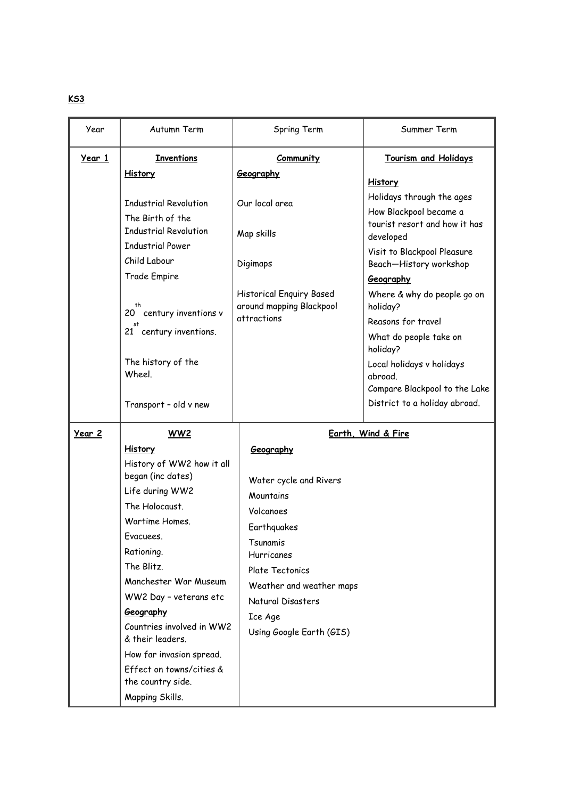| Year   | Autumn Term                                       | Spring Term                                                                | Summer Term                                                           |
|--------|---------------------------------------------------|----------------------------------------------------------------------------|-----------------------------------------------------------------------|
| Year 1 | <b>Inventions</b>                                 | Community                                                                  | <b>Tourism and Holidays</b>                                           |
|        | <b>History</b>                                    | Geography                                                                  | <b>History</b>                                                        |
|        | <b>Industrial Revolution</b><br>The Birth of the  | Our local area                                                             | Holidays through the ages<br>How Blackpool became a                   |
|        | <b>Industrial Revolution</b>                      | Map skills                                                                 | tourist resort and how it has<br>developed                            |
|        | <b>Industrial Power</b><br>Child Labour           | Digimaps                                                                   | Visit to Blackpool Pleasure<br>Beach-History workshop                 |
|        | Trade Empire                                      |                                                                            | Geography                                                             |
|        | 20 century inventions v<br>21 century inventions. | <b>Historical Enquiry Based</b><br>around mapping Blackpool<br>attractions | Where & why do people go on<br>holiday?<br>Reasons for travel         |
|        |                                                   |                                                                            | What do people take on<br>holiday?                                    |
|        | The history of the<br>Wheel.                      |                                                                            | Local holidays v holidays<br>abroad.<br>Compare Blackpool to the Lake |
|        | Transport - old v new                             |                                                                            | District to a holiday abroad.                                         |
| Year 2 | WW2                                               |                                                                            | Earth, Wind & Fire                                                    |
|        | <b>History</b>                                    | Geography                                                                  |                                                                       |
|        | History of WW2 how it all                         |                                                                            |                                                                       |
|        | began (inc dates)<br>Life during WW2              | Water cycle and Rivers                                                     |                                                                       |
|        | The Holocaust.                                    | Mountains                                                                  |                                                                       |
|        | Wartime Homes.                                    | Volcanoes                                                                  |                                                                       |
|        | Evacuees.                                         | Earthquakes                                                                |                                                                       |
|        | Rationing.                                        | Tsunamis<br><b>Hurricanes</b>                                              |                                                                       |
|        | The Blitz.                                        | Plate Tectonics                                                            |                                                                       |
|        | Manchester War Museum                             | Weather and weather maps                                                   |                                                                       |
|        | WW2 Day - veterans etc                            | Natural Disasters                                                          |                                                                       |
|        | Geography                                         | Ice Age                                                                    |                                                                       |
|        | Countries involved in WW2<br>& their leaders.     | Using Google Earth (GIS)                                                   |                                                                       |
|        | How far invasion spread.                          |                                                                            |                                                                       |
|        | Effect on towns/cities &<br>the country side.     |                                                                            |                                                                       |
|        | Mapping Skills.                                   |                                                                            |                                                                       |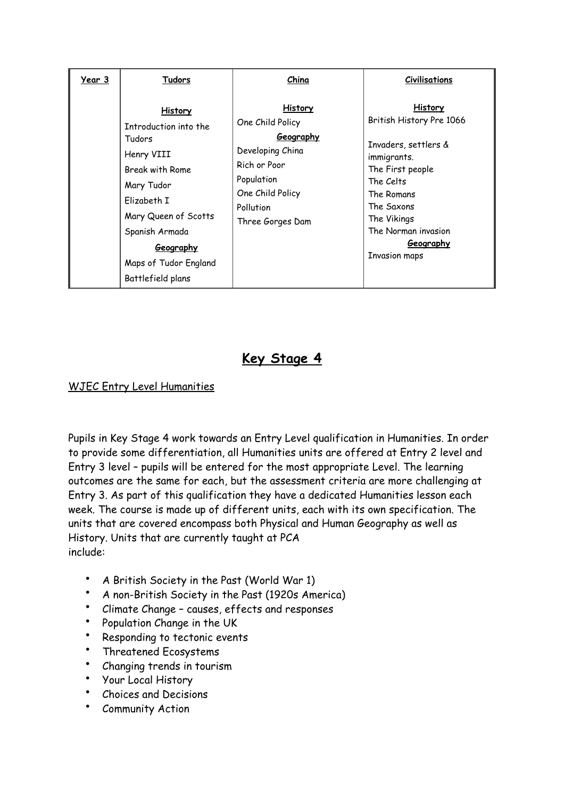| Year 3 | Tudors                                                                                                                                                                                                                      | China                                                                                                                                                         | <b>Civilisations</b>                                                                                                                                                                                                             |
|--------|-----------------------------------------------------------------------------------------------------------------------------------------------------------------------------------------------------------------------------|---------------------------------------------------------------------------------------------------------------------------------------------------------------|----------------------------------------------------------------------------------------------------------------------------------------------------------------------------------------------------------------------------------|
|        | <b>History</b><br>Introduction into the<br>Tudors<br>Henry VIII<br>Break with Rome<br>Mary Tudor<br>Elizabeth I<br>Mary Queen of Scotts<br>Spanish Armada<br><u>Geography</u><br>Maps of Tudor England<br>Battlefield plans | <b>History</b><br>One Child Policy<br><u>Geography</u><br>Developing China<br>Rich or Poor<br>Population<br>One Child Policy<br>Pollution<br>Three Gorges Dam | <b>History</b><br>British History Pre 1066<br>Invaders, settlers &<br>immigrants.<br>The First people<br>The Celts<br>The Romans<br>The Saxons<br>The Vikings<br>The Norman invasion<br><u>Geography</u><br><b>Invasion maps</b> |

# **Key Stage 4**

### WJEC Entry Level Humanities

Pupils in Key Stage 4 work towards an Entry Level qualification in Humanities. In order to provide some differentiation, all Humanities units are offered at Entry 2 level and Entry 3 level – pupils will be entered for the most appropriate Level. The learning outcomes are the same for each, but the assessment criteria are more challenging at Entry 3. As part of this qualification they have a dedicated Humanities lesson each week. The course is made up of different units, each with its own specification. The units that are covered encompass both Physical and Human Geography as well as History. Units that are currently taught at PCA include:

- A British Society in the Past (World War 1)
- A non-British Society in the Past (1920s America)
- Climate Change causes, effects and responses
- Population Change in the UK
- Responding to tectonic events
- Threatened Ecosystems
- Changing trends in tourism
- Your Local History
- Choices and Decisions
- Community Action